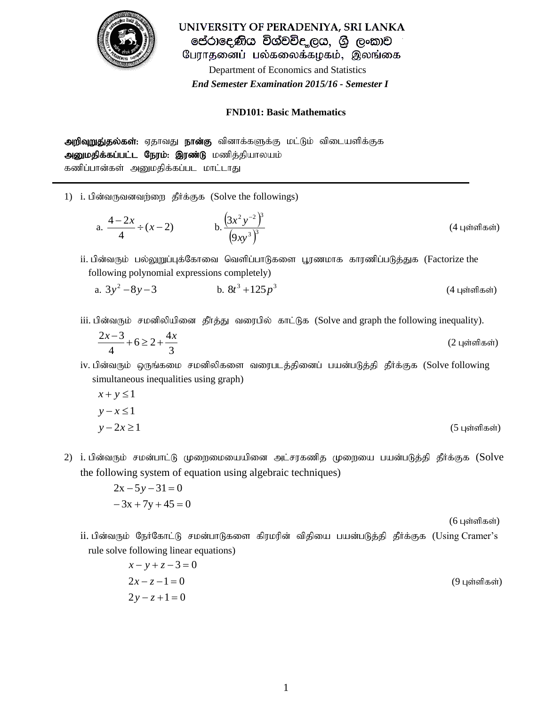

UNIVERSITY OF PERADENIYA, SRI LANKA පේරාදෙණිය විශ්වවිද ලය, ශූ ලංකාව பேராதனைப் பல்கலைக்கழகம், இலங்கை Department of Economics and Statistics  *End Semester Examination 2015/16 - Semester I*

## **FND101: Basic Mathematics**

**அறிவுறுது்தல்கள்:** ஏதாவது **நான்கு** வினாக்களுக்கு மட்டும் விடையளிக்குக அனுமதிக்கப்பட்ட நேரம்: இரண்டு மணித்தியாலயம் கணிப்பான்கள் அனுமதிக்கப்பட மாட்டாது

1) i. பின்வருவனவர்ளை தீர்க்குக (Solve the followings)

a. 
$$
\frac{4-2x}{4} \div (x-2)
$$
 b.  $\frac{(3x^2y^{-2})^3}{(9xy^3)^3}$  (4 uointinflæði)

ii. பின்வரும் பல்லுறுப்புக்கோவை வெளிப்பாடுகளை பூரணமாக காரணிப்படுத்துக (Factorize the following polynomial expressions completely)

- a.  $3y^2 8y 3$  b. b.  $8t^3 + 125p^3$ *(4 புள்ளிகள்)*
- iii. பின்வரும் சமனிலியினை தீர்த்து வரைபில் காட்டுக (Solve and graph the following inequality).

$$
\frac{2x-3}{4} + 6 \ge 2 + \frac{4x}{3}
$$
 (2 uqöraflæði)

iv. பின்வரும் ஒருங்கமை சமனிலிகளை வரைபடத்தினைப் பயன்படுத்தி தீர்க்குக (Solve following simultaneous inequalities using graph)

$$
x + y \le 1
$$
  
y − x ≤ 1  
y − 2x ≥ 1 (5 μsinna<sup>sin</sup>na<sup>sin</sup>)

2) i. பின்வரும் சமன்பாட்டு முறைமையையினை அட்சரகணித முறையை பயன்படுத்தி தீர்க்குக (Solve the following system of equation using algebraic techniques)

$$
2x - 5y - 31 = 0
$$
  
- 3x + 7y + 45 = 0

 $(6 \text{ L} \cdot \text{S} \cdot \text{S} \cdot \text{S} \cdot \text{S} \cdot \text{S} \cdot \text{S} \cdot \text{S} \cdot \text{S} \cdot \text{S} \cdot \text{S} \cdot \text{S} \cdot \text{S} \cdot \text{S} \cdot \text{S} \cdot \text{S} \cdot \text{S} \cdot \text{S} \cdot \text{S} \cdot \text{S} \cdot \text{S} \cdot \text{S} \cdot \text{S} \cdot \text{S} \cdot \text{S} \cdot \text{S} \cdot \text{S} \cdot \text{S} \cdot \text{S} \cdot \text{S} \cdot \text{S} \cdot$ 

 $i$ i. பின்வரும் நேர்கோட்டு சமன்பாடுகளை கிரமரின் விதியை பயன்படுத்தி தீர்க்குக (Using Cramer's rule solve following linear equations)

$$
x-y+z-3=0
$$
  
2x-z-1=0 (9 u<sup>sin</sup>an<sup>tan</sup>)  
2y-z+1=0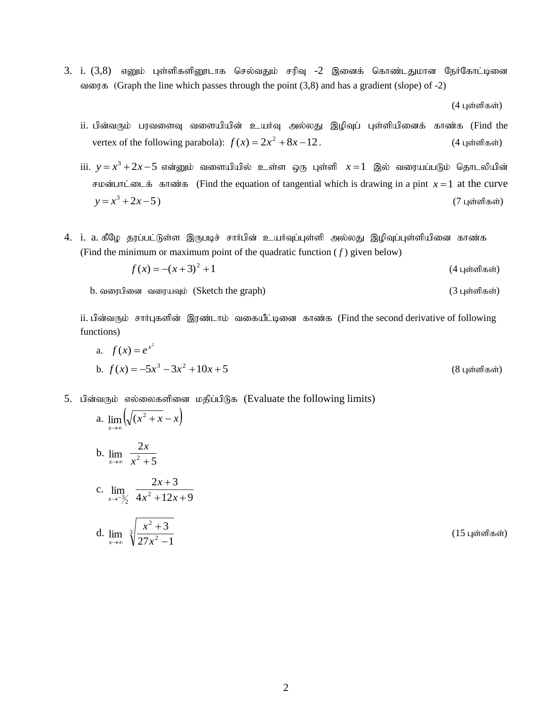3. i.  $(3,8)$  எனும் புள்ளிகளினூடாக செல்வதும் சரிவு -2 இனைக் கொண்டதுமான நேர்கோட்டினை alongthalfthareform (Graph the line which passes through the point  $(3,8)$  and has a gradient (slope) of -2)

 $(4 \text{ L}$ ள்ளிகள்)

- $i$ i. பின்வரும் பரவளைவு வளையியின் உயர்வு அல்லது இழிவுப் புள்ளியினைக் காண்க (Find the vertex of the following parabola):  $f(x) = 2x^2 + 8x - 12$ . (4 புள்ளிகள்)
- iii.  $y\,{=}\,x^3\,{+}\,2x\,{-}\,5$  என்னும் வளையியில் உள்ள ஒரு புள்ளி  $\,x\,{=}\,1\,$  இல் வரையப்படும் தொடலியின்  $\theta$  *F* is drawn in the equation of tangential which is drawing in a pint  $x = 1$  at the curve  $y = x^3 + 2x - 5$ ) (7 புள்ளிகள்)
- 4. i. a. கீமே தூப்பட்டுள்ள இருபடிச் சார்பின் உயர்வப்புள்ளி அல்லது இழிவுப்புள்ளியினை காண்க (Find the minimum or maximum point of the quadratic function  $(f)$  given below)

$$
f(x) = -(x+3)^2 + 1
$$
 (4 uqöndləsö)

b. tiugpid tiuaTk; (Sketch the graph) (3 Gs;spfs;)

ii. பின்வரும் சார்புகளின் இரண்டாம் வகையீட்டினை காண்க (Find the second derivative of following functions)

a. 
$$
f(x) = e^{x^2}
$$
  
b.  $f(x) = -5x^3 - 3x^2 + 10x + 5$  (8 Lqáinflæði)

5. பின்வரும் எல்லைகளினை மதிப்பிடுக (Evaluate the following limits)

 $\sqrt{2}$ 

a. 
$$
\lim_{x \to \infty} \left( \sqrt{x^2 + x} - x \right)
$$
  
\nb.  $\lim_{x \to \infty} \frac{2x}{x^2 + 5}$   
\nc.  $\lim_{x \to -\frac{3}{2}} \frac{2x + 3}{4x^2 + 12x + 9}$   
\nd.  $\lim_{x \to \infty} \sqrt[3]{\frac{x^2 + 3}{27x^2 - 1}}$  (154 in the form)